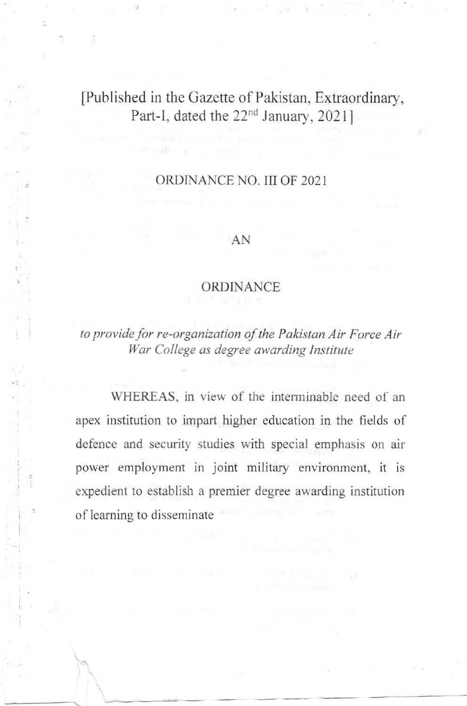# [Published in thc Gazette of Pakistan, Extraordinary', Part-I, dated the 22<sup>nd</sup> January, 2021]

 $\sim$   $\alpha$ 

### oRDINANCE NO. III OF 2O2I

#### AN

#### ORDINANCE

to provide for re-organization of the Pakistan Air Force Air War College as degree awarding Institute

WHEREAS, in view of the interminable need of an apex institution to impart higher education in the fields of defence and security studies with special emphasis on air power employment in joint military environment, it is expedient to establish a premier degree awarding institution of learning to disseminate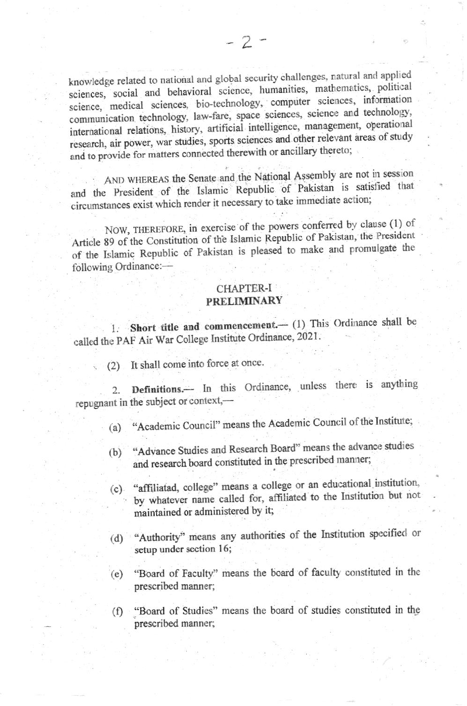knowledge related to national and global security challenges, natural and applied sciences, social and behavioral science, humanities, mathematics, political science, medical sciences, bio-technology, computer sciences, information communication technology, law-fare, space sciences, science and technology, international relations, history, artificial intelligence, management, operational research, air power, war studies, sports sciences and other relevant areas of study and to provide for matters connected therewith or ancillary thereto;

AND WHEREAS the Senate and the National Assembly are not in session and the President of the Islamic Republic of Pakistan is satisfied that circumstances exist which render it necessary to take immediate action;

NOW, THEREFORE, in exercise of the powers conferred by clause (1) of Article 89 of the Constitution of the Islamic Republic of Pakistan, the President of the Islamic Republic of Pakistan is pleased to make and promulgate the following Ordinance:-

#### **CHAPTER-I PRELIMINARY**

1. Short title and commencement. (1) This Ordinance shall be called the PAF Air War College Institute Ordinance, 2021.

(2) It shall come into force at once.

Definitions.-- In this Ordinance, unless there is anything 2. repugnant in the subject or context,-

- "Academic Council" means the Academic Council of the Institute;  $(a)$
- "Advance Studies and Research Board" means the advance studies  $(b)$ and research board constituted in the prescribed manner;
- "affiliatad, college" means a college or an educational institution,  $(c)$ by whatever name called for, affiliated to the Institution but not maintained or administered by it;
- (d) "Authority" means any authorities of the Institution specified or setup under section 16;
- "Board of Faculty" means the board of faculty constituted in the  $(e)$ prescribed manner;
- (f) "Board of Studies" means the board of studies constituted in the prescribed manner;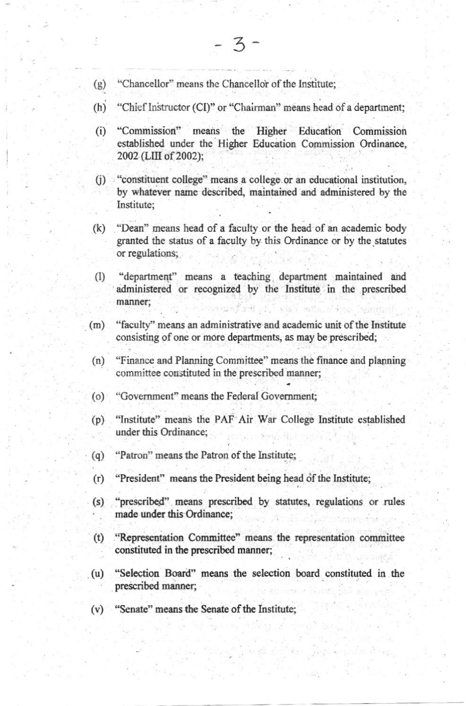- "Chancellor" means the Chancellor of the Institute:  $(g)$
- $(h)$ "Chief Instructor (CI)" or "Chairman" means head of a department;
- "Commission" means the Higher Education Commission  $(i)$ established under the Higher Education Commission Ordinance, 2002 (LIII of 2002):
- "constituent college" means a college or an educational institution,  $(i)$ by whatever name described, maintained and administered by the Institute:
- $(k)$ "Dean" means head of a faculty or the head of an academic body granted the status of a faculty by this Ordinance or by the statutes or regulations;
- "department" means a teaching department maintained and  $(1)$ administered or recognized by the Institute in the prescribed manner;
- "faculty" means an administrative and academic unit of the Institute  $(m)$ consisting of one or more departments, as may be prescribed;
- "Finance and Planning Committee" means the finance and planning  $(n)$ committee constituted in the prescribed manner:
- $(0)$ "Government" means the Federal Government;
- "Institute" means the PAF Air War College Institute established  $(p)$ under this Ordinance;
- "Patron" means the Patron of the Institute;  $(q)$
- "President" means the President being head of the Institute;  $(r)$
- $(s)$ "prescribed" means prescribed by statutes, regulations or rules made under this Ordinance:
- "Representation Committee" means the representation committee  $(t)$ constituted in the prescribed manner;
- "Selection Board" means the selection board constituted in the  $(u)$ prescribed manner;
- "Senate" means the Senate of the Institute;  $(v)$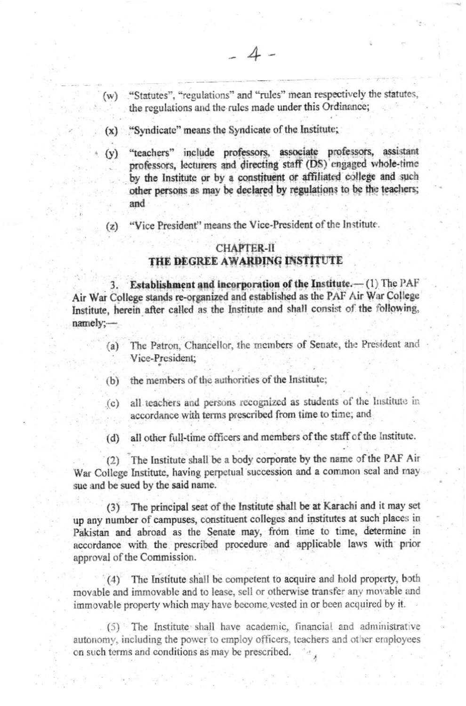- "Statutes", "regulations" and "rules" mean respectively the statutes,  $(w)$ the regulations and the rules made under this Ordinance;
- (x) "Syndicate" means the Syndicate of the Institute;
- "teachers" include professors, associate professors, assistant  $(y)$ professors, lecturers and directing staff (DS) engaged whole-time by the Institute or by a constituent or affiliated college and such other persons as may be declared by regulations to be the teachers; and
- "Vice President" means the Vice-President of the Institute.  $(z)$

## **CHAPTER-II**

## THE DEGREE AWARDING INSTITUTE

Establishment and incorporation of the Institute.-(1) The PAF Air War College stands re-organized and established as the PAF Air War College Institute, herein after called as the Institute and shall consist of the following, namely:-

- The Patron, Chancellor, the members of Senate, the President and  $(a)$ Vice-President;
- the members of the authorities of the Institute;  $(b)$
- all teachers and persons recognized as students of the Institute in  $(c)$ accordance with terms prescribed from time to time; and
- all other full-time officers and members of the staff of the Institute.  $(d)$

(2) The Institute shall be a body corporate by the name of the PAF Air War College Institute, having perpetual succession and a common seal and may sue and be sued by the said name.

(3) The principal seat of the Institute shall be at Karachi and it may set up any number of campuses, constituent colleges and institutes at such places in Pakistan and abroad as the Senate may, from time to time, determine in accordance with the prescribed procedure and applicable laws with prior approval of the Commission.

(4) The Institute shall be competent to acquire and hold property, both movable and immovable and to lease, sell or otherwise transfer any movable and immovable property which may have become vested in or been acquired by it.

(5) The Institute shall have academic, financial and administrative autonomy, including the power to employ officers, teachers and other employees on such terms and conditions as may be prescribed.